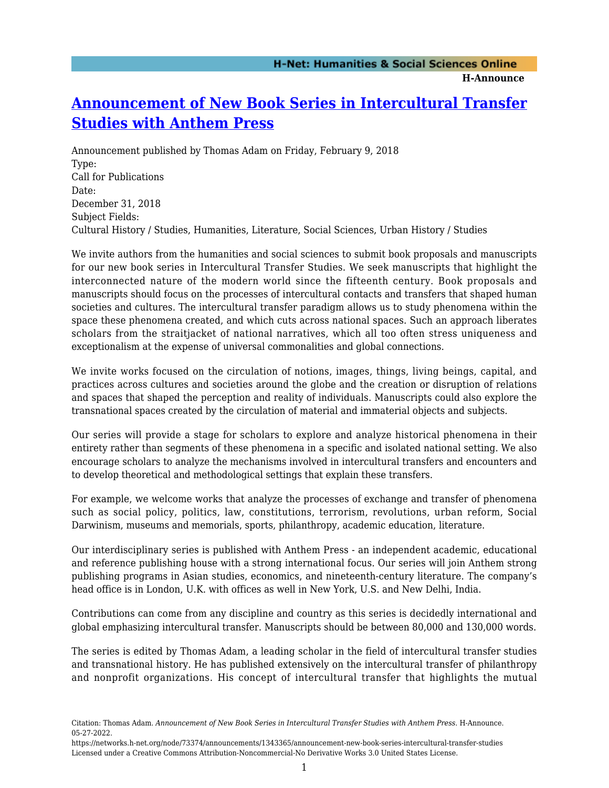## **[Announcement of New Book Series in Intercultural Transfer](https://networks.h-net.org/node/73374/announcements/1343365/announcement-new-book-series-intercultural-transfer-studies) [Studies with Anthem Press](https://networks.h-net.org/node/73374/announcements/1343365/announcement-new-book-series-intercultural-transfer-studies)**

Announcement published by Thomas Adam on Friday, February 9, 2018 Type: Call for Publications Date: December 31, 2018 Subject Fields: Cultural History / Studies, Humanities, Literature, Social Sciences, Urban History / Studies

We invite authors from the humanities and social sciences to submit book proposals and manuscripts for our new book series in Intercultural Transfer Studies. We seek manuscripts that highlight the interconnected nature of the modern world since the fifteenth century. Book proposals and manuscripts should focus on the processes of intercultural contacts and transfers that shaped human societies and cultures. The intercultural transfer paradigm allows us to study phenomena within the space these phenomena created, and which cuts across national spaces. Such an approach liberates scholars from the straitjacket of national narratives, which all too often stress uniqueness and exceptionalism at the expense of universal commonalities and global connections.

We invite works focused on the circulation of notions, images, things, living beings, capital, and practices across cultures and societies around the globe and the creation or disruption of relations and spaces that shaped the perception and reality of individuals. Manuscripts could also explore the transnational spaces created by the circulation of material and immaterial objects and subjects.

Our series will provide a stage for scholars to explore and analyze historical phenomena in their entirety rather than segments of these phenomena in a specific and isolated national setting. We also encourage scholars to analyze the mechanisms involved in intercultural transfers and encounters and to develop theoretical and methodological settings that explain these transfers.

For example, we welcome works that analyze the processes of exchange and transfer of phenomena such as social policy, politics, law, constitutions, terrorism, revolutions, urban reform, Social Darwinism, museums and memorials, sports, philanthropy, academic education, literature.

Our interdisciplinary series is published with Anthem Press - an independent academic, educational and reference publishing house with a strong international focus. Our series will join Anthem strong publishing programs in Asian studies, economics, and nineteenth-century literature. The company's head office is in London, U.K. with offices as well in New York, U.S. and New Delhi, India.

Contributions can come from any discipline and country as this series is decidedly international and global emphasizing intercultural transfer. Manuscripts should be between 80,000 and 130,000 words.

The series is edited by Thomas Adam, a leading scholar in the field of intercultural transfer studies and transnational history. He has published extensively on the intercultural transfer of philanthropy and nonprofit organizations. His concept of intercultural transfer that highlights the mutual

Citation: Thomas Adam. *Announcement of New Book Series in Intercultural Transfer Studies with Anthem Press*. H-Announce. 05-27-2022.

https://networks.h-net.org/node/73374/announcements/1343365/announcement-new-book-series-intercultural-transfer-studies Licensed under a Creative Commons Attribution-Noncommercial-No Derivative Works 3.0 United States License.